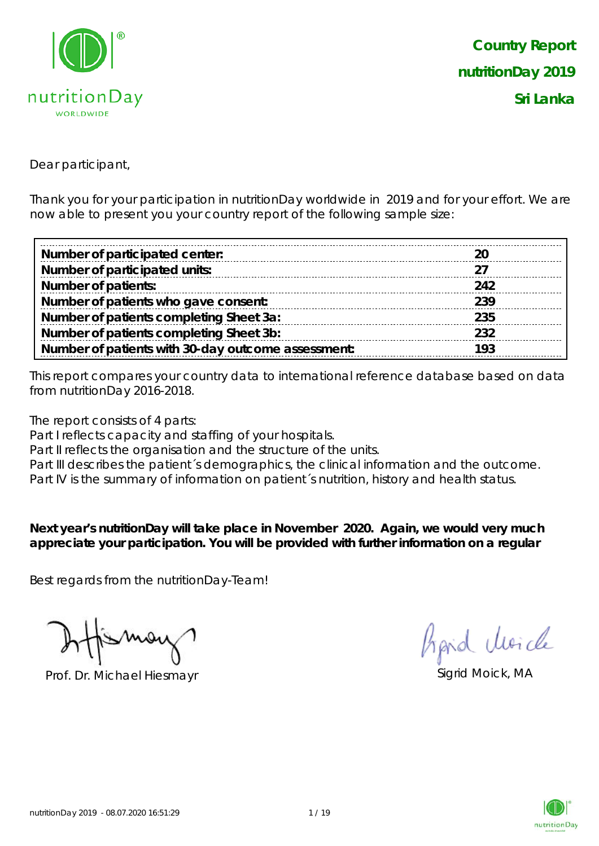

*Country Report nutritionDay 2019 Sri Lanka*

Dear participant,

Thank you for your participation in nutritionDay worldwide in 2019 and for your effort. We are now able to present you your country report of the following sample size:

| Number of participated center:                     |     |
|----------------------------------------------------|-----|
| Number of participated units:                      |     |
| <b>Number of patients:</b>                         | 242 |
| Number of patients who gave consent:               | 239 |
| Number of patients completing Sheet 3a:            | 235 |
| Number of patients completing Sheet 3b:            | 232 |
| Number of patients with 30-day outcome assessment: | 193 |

This report compares your country data to international reference database based on data from nutritionDay 2016-2018.

The report consists of 4 parts:

Part I reflects capacity and staffing of your hospitals.

Part II reflects the organisation and the structure of the units.

Part III describes the patient's demographics, the clinical information and the outcome.

Part IV is the summary of information on patient´s nutrition, history and health status.

**Next year's nutritionDay will take place in November 2020. Again, we would very much appreciate your participation. You will be provided with further information on a regular** 

Best regards from the nutritionDay-Team!

Prof. Dr. Michael Hiesmayr Sigrid Moick, MA

Aprid Moich

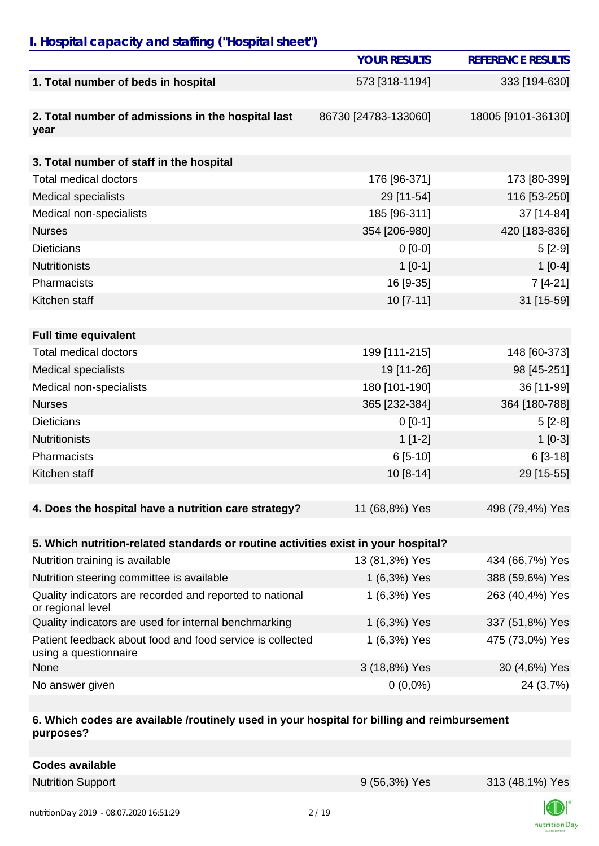# *I. Hospital capacity and staffing ("Hospital sheet")*

|                                                                                    | <b>YOUR RESULTS</b>  | <b>REFERENCE RESULTS</b> |
|------------------------------------------------------------------------------------|----------------------|--------------------------|
| 1. Total number of beds in hospital                                                | 573 [318-1194]       | 333 [194-630]            |
|                                                                                    |                      |                          |
| 2. Total number of admissions in the hospital last                                 | 86730 [24783-133060] | 18005 [9101-36130]       |
| year                                                                               |                      |                          |
| 3. Total number of staff in the hospital                                           |                      |                          |
| <b>Total medical doctors</b>                                                       | 176 [96-371]         | 173 [80-399]             |
| <b>Medical specialists</b>                                                         | 29 [11-54]           | 116 [53-250]             |
| Medical non-specialists                                                            | 185 [96-311]         | 37 [14-84]               |
| <b>Nurses</b>                                                                      | 354 [206-980]        | 420 [183-836]            |
| <b>Dieticians</b>                                                                  | $0$ [0-0]            | $5[2-9]$                 |
| <b>Nutritionists</b>                                                               | $1[0-1]$             | $1[0-4]$                 |
| Pharmacists                                                                        | 16 [9-35]            | $7[4-21]$                |
| Kitchen staff                                                                      | 10 [7-11]            | 31 [15-59]               |
|                                                                                    |                      |                          |
| <b>Full time equivalent</b>                                                        |                      |                          |
| <b>Total medical doctors</b>                                                       | 199 [111-215]        | 148 [60-373]             |
| <b>Medical specialists</b>                                                         | 19 [11-26]           | 98 [45-251]              |
| Medical non-specialists                                                            | 180 [101-190]        | 36 [11-99]               |
| <b>Nurses</b>                                                                      | 365 [232-384]        | 364 [180-788]            |
| <b>Dieticians</b>                                                                  | $0 [0-1]$            | $5[2-8]$                 |
| <b>Nutritionists</b>                                                               | $1[1-2]$             | $1[0-3]$                 |
| Pharmacists                                                                        | $6[5-10]$            | $6[3-18]$                |
| Kitchen staff                                                                      | $10[8-14]$           | 29 [15-55]               |
|                                                                                    |                      |                          |
| 4. Does the hospital have a nutrition care strategy?                               | 11 (68,8%) Yes       | 498 (79,4%) Yes          |
|                                                                                    |                      |                          |
| 5. Which nutrition-related standards or routine activities exist in your hospital? |                      |                          |
| Nutrition training is available                                                    | 13 (81,3%) Yes       | 434 (66,7%) Yes          |
| Nutrition steering committee is available                                          | 1 (6,3%) Yes         | 388 (59,6%) Yes          |
| Quality indicators are recorded and reported to national<br>or regional level      | 1 (6,3%) Yes         | 263 (40,4%) Yes          |
| Quality indicators are used for internal benchmarking                              | 1 (6,3%) Yes         | 337 (51,8%) Yes          |
| Patient feedback about food and food service is collected<br>using a questionnaire | 1 (6,3%) Yes         | 475 (73,0%) Yes          |
| None                                                                               | 3 (18,8%) Yes        | 30 (4,6%) Yes            |
| No answer given                                                                    | $0(0,0\%)$           | 24 (3,7%)                |

#### **6. Which codes are available /routinely used in your hospital for billing and reimbursement purposes?**

| <b>Codes available</b> |
|------------------------|
|------------------------|

Nutrition Support 9 (56,3%) Yes 313 (48,1%) Yes

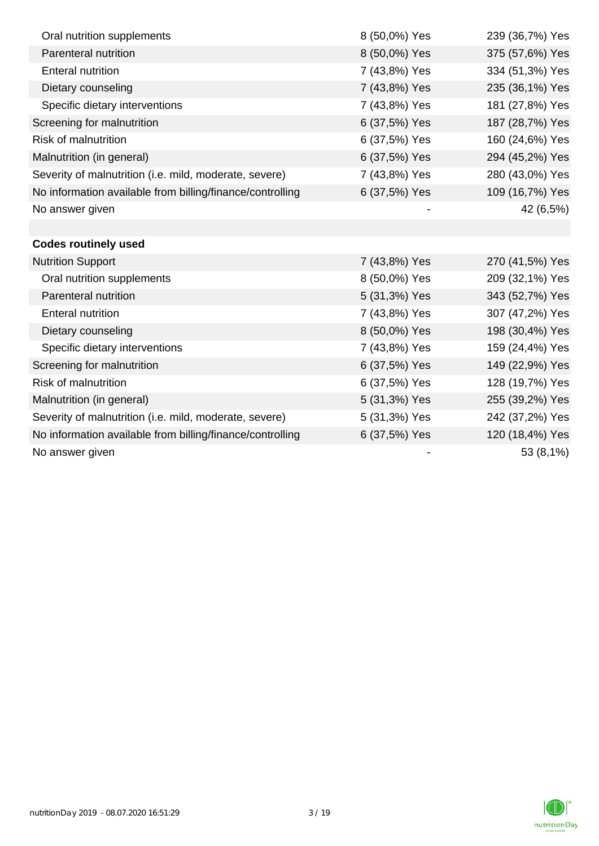| Oral nutrition supplements                                | 8 (50,0%) Yes | 239 (36,7%) Yes |
|-----------------------------------------------------------|---------------|-----------------|
| Parenteral nutrition                                      | 8 (50,0%) Yes | 375 (57,6%) Yes |
| <b>Enteral nutrition</b>                                  | 7 (43,8%) Yes | 334 (51,3%) Yes |
| Dietary counseling                                        | 7 (43,8%) Yes | 235 (36,1%) Yes |
| Specific dietary interventions                            | 7 (43,8%) Yes | 181 (27,8%) Yes |
| Screening for malnutrition                                | 6 (37,5%) Yes | 187 (28,7%) Yes |
| <b>Risk of malnutrition</b>                               | 6 (37,5%) Yes | 160 (24,6%) Yes |
| Malnutrition (in general)                                 | 6 (37,5%) Yes | 294 (45,2%) Yes |
| Severity of malnutrition (i.e. mild, moderate, severe)    | 7 (43,8%) Yes | 280 (43,0%) Yes |
| No information available from billing/finance/controlling | 6 (37,5%) Yes | 109 (16,7%) Yes |
| No answer given                                           |               | 42 (6,5%)       |
|                                                           |               |                 |
| <b>Codes routinely used</b>                               |               |                 |
| <b>Nutrition Support</b>                                  | 7 (43,8%) Yes | 270 (41,5%) Yes |
| Oral nutrition supplements                                | 8 (50,0%) Yes | 209 (32,1%) Yes |
| Parenteral nutrition                                      | 5 (31,3%) Yes | 343 (52,7%) Yes |
| <b>Enteral nutrition</b>                                  | 7 (43,8%) Yes | 307 (47,2%) Yes |
| Dietary counseling                                        | 8 (50,0%) Yes | 198 (30,4%) Yes |
| Specific dietary interventions                            | 7 (43,8%) Yes | 159 (24,4%) Yes |
| Screening for malnutrition                                | 6 (37,5%) Yes | 149 (22,9%) Yes |
| <b>Risk of malnutrition</b>                               | 6 (37,5%) Yes | 128 (19,7%) Yes |
| Malnutrition (in general)                                 | 5 (31,3%) Yes | 255 (39,2%) Yes |
| Severity of malnutrition (i.e. mild, moderate, severe)    | 5 (31,3%) Yes | 242 (37,2%) Yes |
| No information available from billing/finance/controlling | 6 (37,5%) Yes | 120 (18,4%) Yes |
| No answer given                                           |               | 53 (8,1%)       |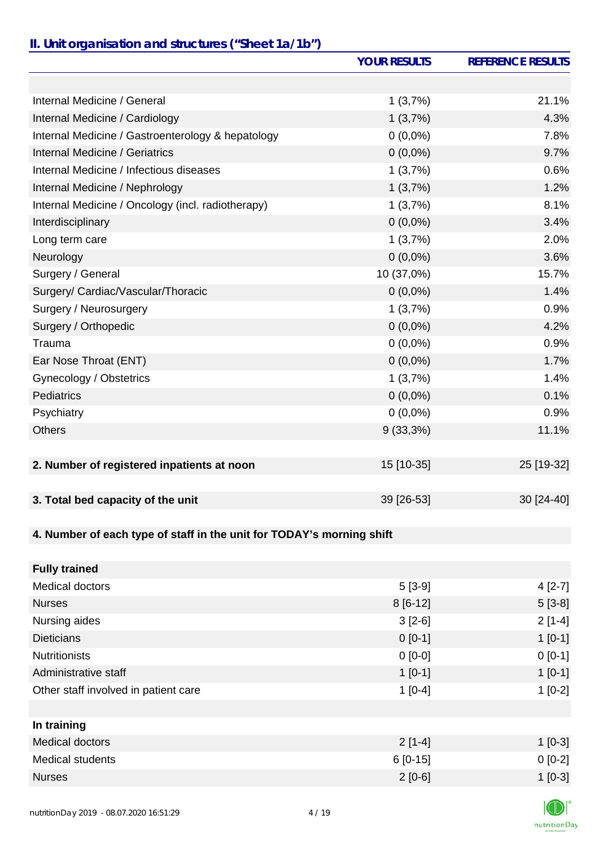### *II. Unit organisation and structures ("Sheet 1a/1b")*

|                                                                       | <b>YOUR RESULTS</b> | <b>REFERENCE RESULTS</b> |
|-----------------------------------------------------------------------|---------------------|--------------------------|
|                                                                       |                     |                          |
| Internal Medicine / General                                           | 1(3,7%)             | 21.1%                    |
| Internal Medicine / Cardiology                                        | 1(3,7%)             | 4.3%                     |
| Internal Medicine / Gastroenterology & hepatology                     | $0(0,0\%)$          | 7.8%                     |
| Internal Medicine / Geriatrics                                        | $0(0,0\%)$          | 9.7%                     |
| Internal Medicine / Infectious diseases                               | 1(3,7%)             | 0.6%                     |
| Internal Medicine / Nephrology                                        | 1(3,7%)             | 1.2%                     |
| Internal Medicine / Oncology (incl. radiotherapy)                     | 1(3,7%)             | 8.1%                     |
| Interdisciplinary                                                     | $0(0,0\%)$          | 3.4%                     |
| Long term care                                                        | 1(3,7%)             | 2.0%                     |
| Neurology                                                             | $0(0,0\%)$          | 3.6%                     |
| Surgery / General                                                     | 10 (37,0%)          | 15.7%                    |
| Surgery/ Cardiac/Vascular/Thoracic                                    | $0(0,0\%)$          | 1.4%                     |
| Surgery / Neurosurgery                                                | 1(3,7%)             | 0.9%                     |
| Surgery / Orthopedic                                                  | $0(0,0\%)$          | 4.2%                     |
| Trauma                                                                | $0(0,0\%)$          | 0.9%                     |
| Ear Nose Throat (ENT)                                                 | $0(0,0\%)$          | 1.7%                     |
| Gynecology / Obstetrics                                               | 1(3,7%)             | 1.4%                     |
| <b>Pediatrics</b>                                                     | $0(0,0\%)$          | 0.1%                     |
| Psychiatry                                                            | $0(0,0\%)$          | 0.9%                     |
| <b>Others</b>                                                         | $9(33,3\%)$         | 11.1%                    |
|                                                                       |                     |                          |
| 2. Number of registered inpatients at noon                            | 15 [10-35]          | 25 [19-32]               |
| 3. Total bed capacity of the unit                                     | 39 [26-53]          | 30 [24-40]               |
|                                                                       |                     |                          |
| 4. Number of each type of staff in the unit for TODAY's morning shift |                     |                          |
|                                                                       |                     |                          |
| <b>Fully trained</b>                                                  |                     |                          |
| <b>Medical doctors</b>                                                | $5[3-9]$            | $4[2-7]$                 |
| <b>Nurses</b>                                                         | $8[6-12]$           | $5[3-8]$                 |
| Nursing aides                                                         | $3[2-6]$            | $2[1-4]$                 |
| <b>Dieticians</b>                                                     | $0[0-1]$            | $1[0-1]$                 |
| <b>Nutritionists</b>                                                  | $0 [0-0]$           | $0[0-1]$                 |
| Administrative staff                                                  | $1[0-1]$            | $1[0-1]$                 |
| Other staff involved in patient care                                  | $1[0-4]$            | $1[0-2]$                 |
|                                                                       |                     |                          |
| In training                                                           |                     |                          |

| $2[1-4]$  | $1$ [0-3] |
|-----------|-----------|
| 6 [0-15]  | $0 [0-2]$ |
| $2$ [0-6] | $1$ [0-3] |
|           |           |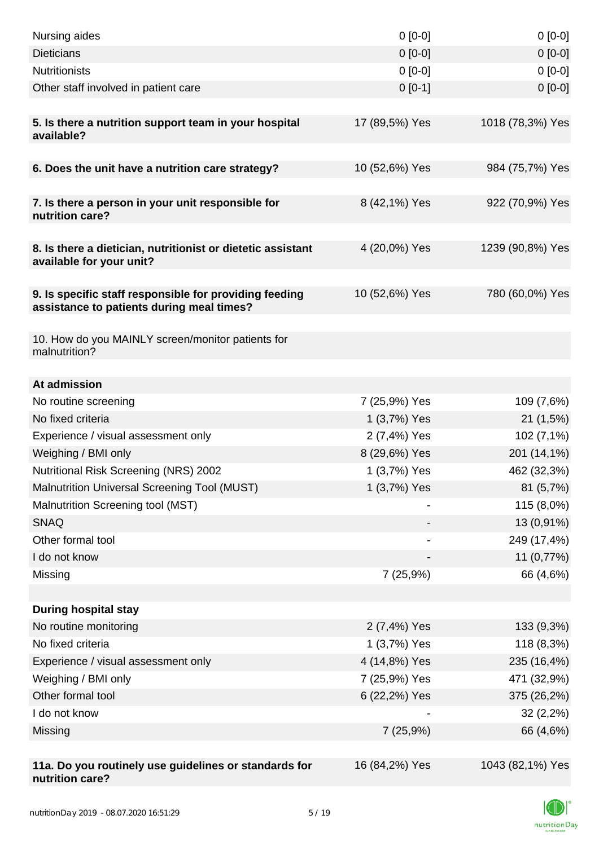| Nursing aides                                                                                       | $0[0-0]$       | $0[0-0]$         |
|-----------------------------------------------------------------------------------------------------|----------------|------------------|
| <b>Dieticians</b>                                                                                   | $0 [0-0]$      | $0[0-0]$         |
| <b>Nutritionists</b>                                                                                | $0 [0-0]$      | $0[0-0]$         |
| Other staff involved in patient care                                                                | $0 [0-1]$      | $0[0-0]$         |
|                                                                                                     |                |                  |
| 5. Is there a nutrition support team in your hospital<br>available?                                 | 17 (89,5%) Yes | 1018 (78,3%) Yes |
| 6. Does the unit have a nutrition care strategy?                                                    | 10 (52,6%) Yes | 984 (75,7%) Yes  |
|                                                                                                     |                |                  |
| 7. Is there a person in your unit responsible for<br>nutrition care?                                | 8 (42,1%) Yes  | 922 (70,9%) Yes  |
| 8. Is there a dietician, nutritionist or dietetic assistant<br>available for your unit?             | 4 (20,0%) Yes  | 1239 (90,8%) Yes |
|                                                                                                     |                |                  |
| 9. Is specific staff responsible for providing feeding<br>assistance to patients during meal times? | 10 (52,6%) Yes | 780 (60,0%) Yes  |
|                                                                                                     |                |                  |
| 10. How do you MAINLY screen/monitor patients for<br>malnutrition?                                  |                |                  |
| At admission                                                                                        |                |                  |
| No routine screening                                                                                | 7 (25,9%) Yes  | 109 (7,6%)       |
| No fixed criteria                                                                                   | 1 (3,7%) Yes   | 21(1,5%)         |
| Experience / visual assessment only                                                                 | 2 (7,4%) Yes   | 102 (7,1%)       |
| Weighing / BMI only                                                                                 | 8 (29,6%) Yes  | 201 (14,1%)      |
| <b>Nutritional Risk Screening (NRS) 2002</b>                                                        | 1 (3,7%) Yes   | 462 (32,3%)      |
| <b>Malnutrition Universal Screening Tool (MUST)</b>                                                 | 1 (3,7%) Yes   | 81 (5,7%)        |
| Malnutrition Screening tool (MST)                                                                   |                | 115 (8,0%)       |
| <b>SNAQ</b>                                                                                         |                | 13 (0,91%)       |
| Other formal tool                                                                                   |                | 249 (17,4%)      |
| I do not know                                                                                       |                | 11 (0,77%)       |
| Missing                                                                                             | 7(25,9%)       | 66 (4,6%)        |
|                                                                                                     |                |                  |
| <b>During hospital stay</b>                                                                         |                |                  |
| No routine monitoring                                                                               | 2 (7,4%) Yes   | 133 (9,3%)       |
| No fixed criteria                                                                                   | 1 (3,7%) Yes   | 118 (8,3%)       |
| Experience / visual assessment only                                                                 | 4 (14,8%) Yes  | 235 (16,4%)      |
| Weighing / BMI only                                                                                 | 7 (25,9%) Yes  | 471 (32,9%)      |
| Other formal tool                                                                                   | 6 (22,2%) Yes  | 375 (26,2%)      |
| I do not know                                                                                       |                | 32(2,2%)         |
| Missing                                                                                             | 7(25,9%)       | 66 (4,6%)        |
|                                                                                                     |                |                  |
| 11a. Do you routinely use guidelines or standards for<br>nutrition care?                            | 16 (84,2%) Yes | 1043 (82,1%) Yes |

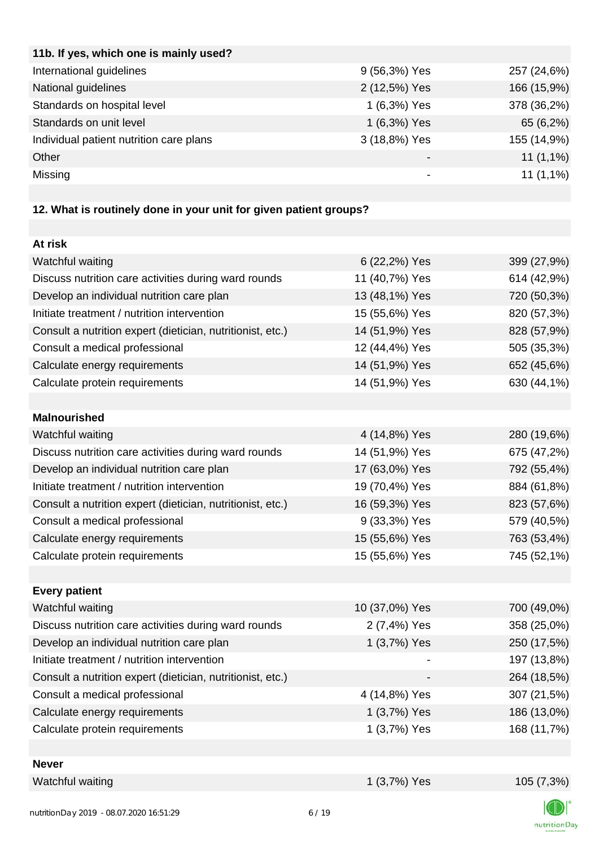| 11b. If yes, which one is mainly used?  |               |             |
|-----------------------------------------|---------------|-------------|
| International guidelines                | 9 (56,3%) Yes | 257 (24,6%) |
| National guidelines                     | 2 (12,5%) Yes | 166 (15,9%) |
| Standards on hospital level             | 1 (6,3%) Yes  | 378 (36,2%) |
| Standards on unit level                 | 1 (6,3%) Yes  | 65 (6,2%)   |
| Individual patient nutrition care plans | 3 (18,8%) Yes | 155 (14,9%) |
| Other                                   |               | $11(1,1\%)$ |
| Missing                                 |               | $11(1,1\%)$ |
|                                         |               |             |

# **12. What is routinely done in your unit for given patient groups?**

| At risk                                                    |                |             |
|------------------------------------------------------------|----------------|-------------|
| Watchful waiting                                           | 6 (22,2%) Yes  | 399 (27,9%) |
| Discuss nutrition care activities during ward rounds       | 11 (40,7%) Yes | 614 (42,9%) |
| Develop an individual nutrition care plan                  | 13 (48,1%) Yes | 720 (50,3%) |
| Initiate treatment / nutrition intervention                | 15 (55,6%) Yes | 820 (57,3%) |
| Consult a nutrition expert (dietician, nutritionist, etc.) | 14 (51,9%) Yes | 828 (57,9%) |
| Consult a medical professional                             | 12 (44,4%) Yes | 505 (35,3%) |
| Calculate energy requirements                              | 14 (51,9%) Yes | 652 (45,6%) |
| Calculate protein requirements                             | 14 (51,9%) Yes | 630 (44,1%) |
|                                                            |                |             |
| <b>Malnourished</b>                                        |                |             |
| Watchful waiting                                           | 4 (14,8%) Yes  | 280 (19,6%) |
| Discuss nutrition care activities during ward rounds       | 14 (51,9%) Yes | 675 (47,2%) |
| Develop an individual nutrition care plan                  | 17 (63,0%) Yes | 792 (55,4%) |
| Initiate treatment / nutrition intervention                | 19 (70,4%) Yes | 884 (61,8%) |
| Consult a nutrition expert (dietician, nutritionist, etc.) | 16 (59,3%) Yes | 823 (57,6%) |
| Consult a medical professional                             | 9 (33,3%) Yes  | 579 (40,5%) |
| Calculate energy requirements                              | 15 (55,6%) Yes | 763 (53,4%) |
| Calculate protein requirements                             | 15 (55,6%) Yes | 745 (52,1%) |
|                                                            |                |             |
| <b>Every patient</b>                                       |                |             |
| Watchful waiting                                           | 10 (37,0%) Yes | 700 (49,0%) |
| Discuss nutrition care activities during ward rounds       | 2 (7,4%) Yes   | 358 (25,0%) |
| Develop an individual nutrition care plan                  | 1 (3,7%) Yes   | 250 (17,5%) |
| Initiate treatment / nutrition intervention                |                | 197 (13,8%) |
| Consult a nutrition expert (dietician, nutritionist, etc.) |                | 264 (18,5%) |
| Consult a medical professional                             | 4 (14,8%) Yes  | 307 (21,5%) |
| Calculate energy requirements                              | 1 (3,7%) Yes   | 186 (13,0%) |
| Calculate protein requirements                             | 1 (3,7%) Yes   | 168 (11,7%) |
|                                                            |                |             |
| <b>Never</b>                                               |                |             |
| Watchful waiting                                           | 1 (3,7%) Yes   | 105 (7,3%)  |
|                                                            |                |             |

К nutritionDay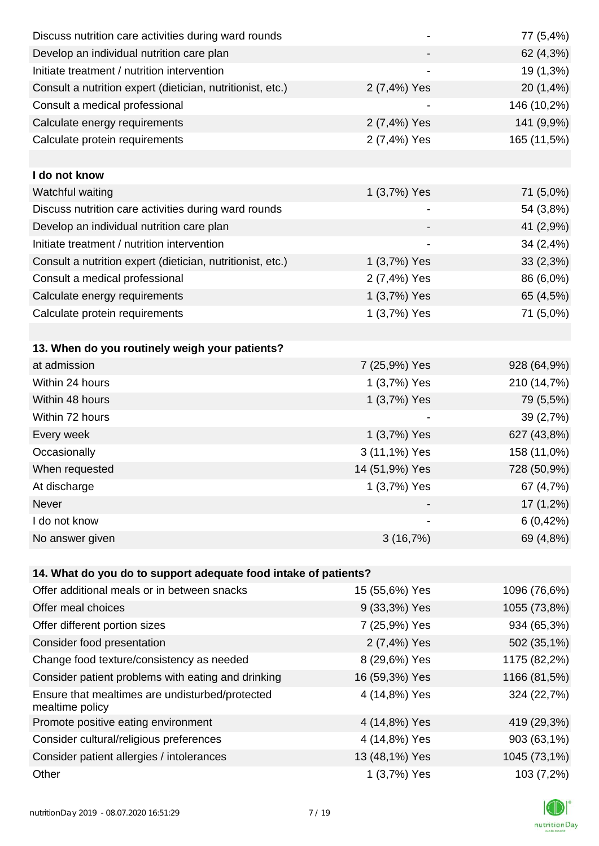| Discuss nutrition care activities during ward rounds               |                | 77 (5,4%)    |
|--------------------------------------------------------------------|----------------|--------------|
| Develop an individual nutrition care plan                          |                | 62 (4,3%)    |
| Initiate treatment / nutrition intervention                        |                | 19 (1,3%)    |
| Consult a nutrition expert (dietician, nutritionist, etc.)         | 2 (7,4%) Yes   | 20 (1,4%)    |
| Consult a medical professional                                     |                | 146 (10,2%)  |
| Calculate energy requirements                                      | 2 (7,4%) Yes   | 141 (9,9%)   |
| Calculate protein requirements                                     | 2 (7,4%) Yes   | 165 (11,5%)  |
|                                                                    |                |              |
| I do not know                                                      |                |              |
| Watchful waiting                                                   | 1 (3,7%) Yes   | 71 (5,0%)    |
| Discuss nutrition care activities during ward rounds               |                | 54 (3,8%)    |
| Develop an individual nutrition care plan                          |                | 41 (2,9%)    |
| Initiate treatment / nutrition intervention                        |                | 34 (2,4%)    |
| Consult a nutrition expert (dietician, nutritionist, etc.)         | 1 (3,7%) Yes   | 33(2,3%)     |
| Consult a medical professional                                     | 2 (7,4%) Yes   | 86 (6,0%)    |
| Calculate energy requirements                                      | 1 (3,7%) Yes   | 65 (4,5%)    |
| Calculate protein requirements                                     | 1 (3,7%) Yes   | 71 (5,0%)    |
|                                                                    |                |              |
| 13. When do you routinely weigh your patients?                     |                |              |
| at admission                                                       | 7 (25,9%) Yes  | 928 (64,9%)  |
| Within 24 hours                                                    | 1 (3,7%) Yes   | 210 (14,7%)  |
| Within 48 hours                                                    | 1 (3,7%) Yes   | 79 (5,5%)    |
| Within 72 hours                                                    |                | 39 (2,7%)    |
| Every week                                                         | 1 (3,7%) Yes   | 627 (43,8%)  |
| Occasionally                                                       | 3 (11,1%) Yes  | 158 (11,0%)  |
| When requested                                                     | 14 (51,9%) Yes | 728 (50,9%)  |
| At discharge                                                       | 1 (3,7%) Yes   | 67 (4,7%)    |
| Never                                                              |                | 17 (1,2%)    |
| I do not know                                                      |                | 6(0,42%)     |
| No answer given                                                    | 3(16,7%)       | 69 (4,8%)    |
|                                                                    |                |              |
| 14. What do you do to support adequate food intake of patients?    |                |              |
| Offer additional meals or in between snacks                        | 15 (55,6%) Yes | 1096 (76,6%) |
| Offer meal choices                                                 | 9 (33,3%) Yes  | 1055 (73,8%) |
| Offer different portion sizes                                      | 7 (25,9%) Yes  | 934 (65,3%)  |
| Consider food presentation                                         | 2 (7,4%) Yes   | 502 (35,1%)  |
| Change food texture/consistency as needed                          | 8 (29,6%) Yes  | 1175 (82,2%) |
| Consider patient problems with eating and drinking                 | 16 (59,3%) Yes | 1166 (81,5%) |
| Ensure that mealtimes are undisturbed/protected<br>mealtime policy | 4 (14,8%) Yes  | 324 (22,7%)  |
| Promote positive eating environment                                | 4 (14,8%) Yes  | 419 (29,3%)  |
| Consider cultural/religious preferences                            | 4 (14,8%) Yes  | 903 (63,1%)  |
| Consider patient allergies / intolerances                          | 13 (48,1%) Yes | 1045 (73,1%) |
| Other                                                              | 1 (3,7%) Yes   | 103 (7,2%)   |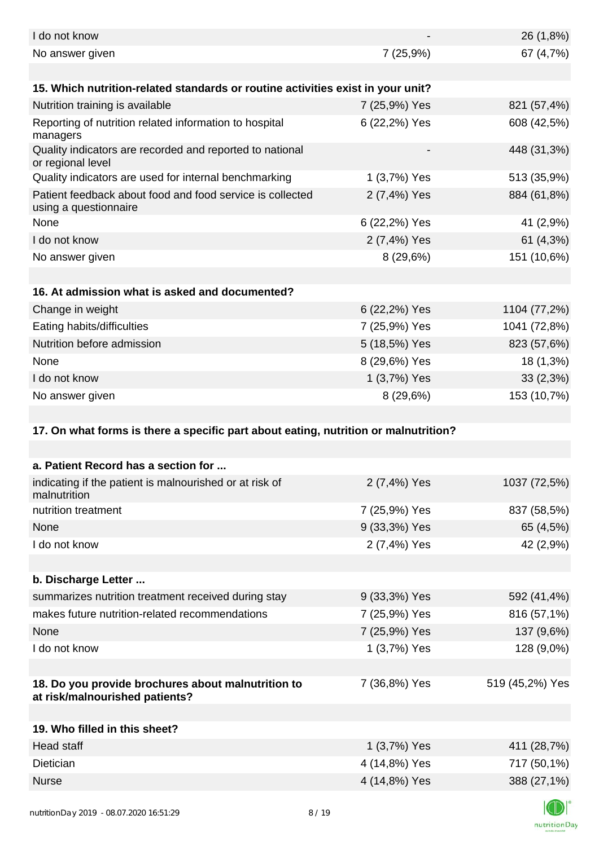| I do not know                                                                        |               | 26 (1,8%)       |
|--------------------------------------------------------------------------------------|---------------|-----------------|
| No answer given                                                                      | 7 (25,9%)     | 67 (4,7%)       |
|                                                                                      |               |                 |
| 15. Which nutrition-related standards or routine activities exist in your unit?      |               |                 |
| Nutrition training is available                                                      | 7 (25,9%) Yes | 821 (57,4%)     |
| Reporting of nutrition related information to hospital<br>managers                   | 6 (22,2%) Yes | 608 (42,5%)     |
| Quality indicators are recorded and reported to national<br>or regional level        |               | 448 (31,3%)     |
| Quality indicators are used for internal benchmarking                                | 1 (3,7%) Yes  | 513 (35,9%)     |
| Patient feedback about food and food service is collected<br>using a questionnaire   | 2 (7,4%) Yes  | 884 (61,8%)     |
| None                                                                                 | 6 (22,2%) Yes | 41 (2,9%)       |
| I do not know                                                                        | 2 (7,4%) Yes  | 61 (4,3%)       |
| No answer given                                                                      | 8(29,6%)      | 151 (10,6%)     |
|                                                                                      |               |                 |
| 16. At admission what is asked and documented?                                       |               |                 |
| Change in weight                                                                     | 6 (22,2%) Yes | 1104 (77,2%)    |
| Eating habits/difficulties                                                           | 7 (25,9%) Yes | 1041 (72,8%)    |
| Nutrition before admission                                                           | 5 (18,5%) Yes | 823 (57,6%)     |
| None                                                                                 | 8 (29,6%) Yes | 18 (1,3%)       |
| I do not know                                                                        | 1 (3,7%) Yes  | 33(2,3%)        |
| No answer given                                                                      | 8(29,6%)      | 153 (10,7%)     |
|                                                                                      |               |                 |
| 17. On what forms is there a specific part about eating, nutrition or malnutrition?  |               |                 |
|                                                                                      |               |                 |
| a. Patient Record has a section for                                                  |               |                 |
|                                                                                      |               |                 |
| indicating if the patient is malnourished or at risk of<br>malnutrition              | 2 (7,4%) Yes  | 1037 (72,5%)    |
| nutrition treatment                                                                  | 7 (25,9%) Yes | 837 (58,5%)     |
| None                                                                                 | 9 (33,3%) Yes | 65 (4,5%)       |
| I do not know                                                                        | 2 (7,4%) Yes  | 42 (2,9%)       |
|                                                                                      |               |                 |
| b. Discharge Letter                                                                  |               |                 |
| summarizes nutrition treatment received during stay                                  | 9 (33,3%) Yes | 592 (41,4%)     |
| makes future nutrition-related recommendations                                       | 7 (25,9%) Yes | 816 (57,1%)     |
| None                                                                                 | 7 (25,9%) Yes | 137 (9,6%)      |
| I do not know                                                                        | 1 (3,7%) Yes  | 128 (9,0%)      |
|                                                                                      |               |                 |
| 18. Do you provide brochures about malnutrition to<br>at risk/malnourished patients? | 7 (36,8%) Yes | 519 (45,2%) Yes |
|                                                                                      |               |                 |
| 19. Who filled in this sheet?                                                        |               |                 |
| <b>Head staff</b>                                                                    | 1 (3,7%) Yes  | 411 (28,7%)     |
| Dietician                                                                            | 4 (14,8%) Yes | 717 (50,1%)     |
| <b>Nurse</b>                                                                         | 4 (14,8%) Yes | 388 (27,1%)     |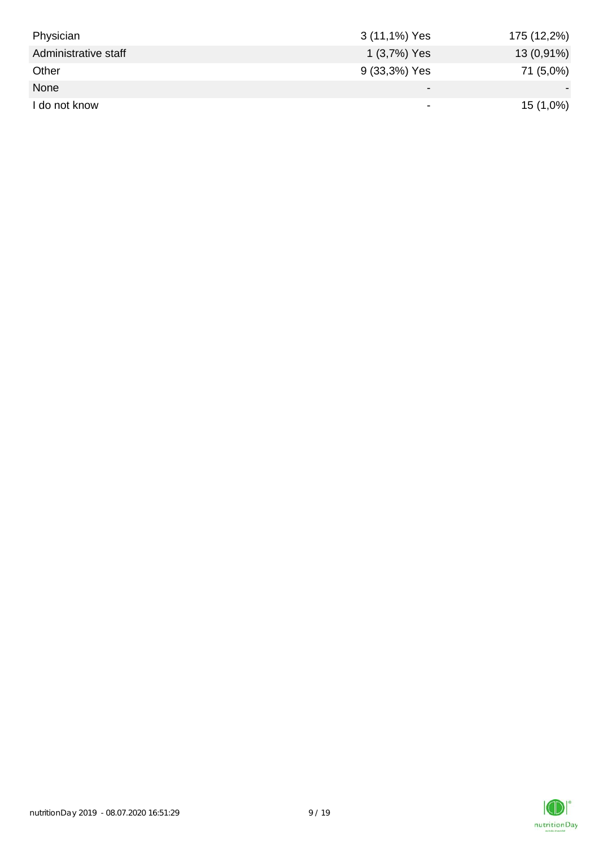| Physician            | 3 (11,1%) Yes            | 175 (12,2%) |
|----------------------|--------------------------|-------------|
| Administrative staff | 1 (3,7%) Yes             | 13 (0,91%)  |
| Other                | 9 (33,3%) Yes            | 71 (5,0%)   |
| None                 | $\overline{\phantom{0}}$ |             |
| I do not know        | $\overline{\phantom{0}}$ | 15 (1,0%)   |

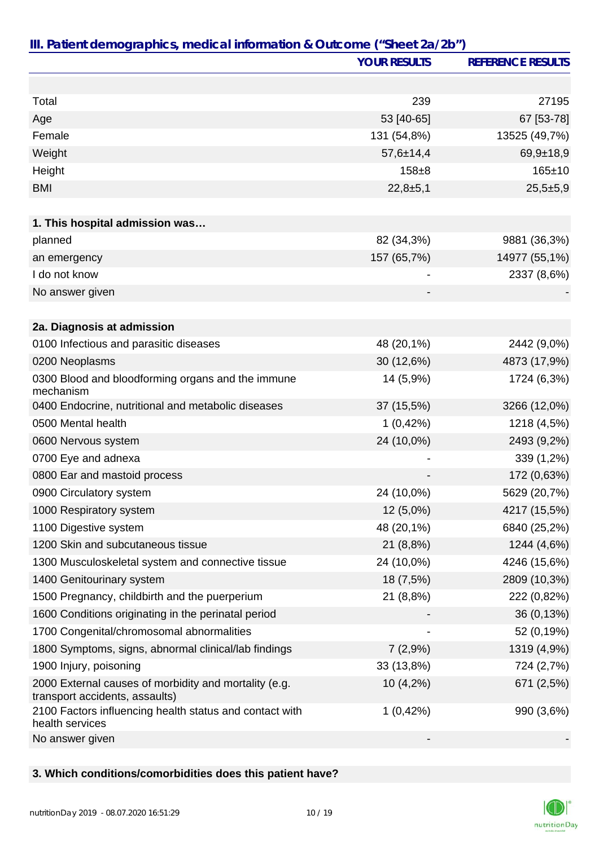|                                                                                         | <b>YOUR RESULTS</b> | <b>REFERENCE RESULTS</b> |
|-----------------------------------------------------------------------------------------|---------------------|--------------------------|
|                                                                                         |                     |                          |
| Total                                                                                   | 239                 | 27195                    |
| Age                                                                                     | 53 [40-65]          | 67 [53-78]               |
| Female                                                                                  | 131 (54,8%)         | 13525 (49,7%)            |
| Weight                                                                                  | $57,6 \pm 14,4$     | $69,9+18,9$              |
| Height                                                                                  | $158 + 8$           | $165 \pm 10$             |
| <b>BMI</b>                                                                              | $22,8+5,1$          | $25,5+5,9$               |
|                                                                                         |                     |                          |
| 1. This hospital admission was                                                          |                     |                          |
| planned                                                                                 | 82 (34,3%)          | 9881 (36,3%)             |
| an emergency                                                                            | 157 (65,7%)         | 14977 (55,1%)            |
| I do not know                                                                           |                     | 2337 (8,6%)              |
| No answer given                                                                         |                     |                          |
|                                                                                         |                     |                          |
| 2a. Diagnosis at admission                                                              |                     |                          |
| 0100 Infectious and parasitic diseases                                                  | 48 (20,1%)          | 2442 (9,0%)              |
| 0200 Neoplasms                                                                          | 30 (12,6%)          | 4873 (17,9%)             |
| 0300 Blood and bloodforming organs and the immune<br>mechanism                          | 14 (5,9%)           | 1724 (6,3%)              |
| 0400 Endocrine, nutritional and metabolic diseases                                      | 37 (15,5%)          | 3266 (12,0%)             |
| 0500 Mental health                                                                      | 1(0,42%)            | 1218 (4,5%)              |
| 0600 Nervous system                                                                     | 24 (10,0%)          | 2493 (9,2%)              |
| 0700 Eye and adnexa                                                                     |                     | 339 (1,2%)               |
| 0800 Ear and mastoid process                                                            |                     | 172 (0,63%)              |
| 0900 Circulatory system                                                                 | 24 (10,0%)          | 5629 (20,7%)             |
| 1000 Respiratory system                                                                 | 12 (5,0%)           | 4217 (15,5%)             |
| 1100 Digestive system                                                                   | 48 (20,1%)          | 6840 (25,2%)             |
| 1200 Skin and subcutaneous tissue                                                       | 21 (8,8%)           | 1244 (4,6%)              |
| 1300 Musculoskeletal system and connective tissue                                       | 24 (10,0%)          | 4246 (15,6%)             |
| 1400 Genitourinary system                                                               | 18 (7,5%)           | 2809 (10,3%)             |
| 1500 Pregnancy, childbirth and the puerperium                                           | 21 (8,8%)           | 222 (0,82%)              |
| 1600 Conditions originating in the perinatal period                                     |                     | 36 (0,13%)               |
| 1700 Congenital/chromosomal abnormalities                                               |                     | 52 (0,19%)               |
| 1800 Symptoms, signs, abnormal clinical/lab findings                                    | 7(2,9%)             | 1319 (4,9%)              |
| 1900 Injury, poisoning                                                                  | 33 (13,8%)          | 724 (2,7%)               |
| 2000 External causes of morbidity and mortality (e.g.<br>transport accidents, assaults) | 10(4,2%)            | 671 (2,5%)               |
| 2100 Factors influencing health status and contact with<br>health services              | 1(0,42%)            | 990 (3,6%)               |
| No answer given                                                                         |                     |                          |

## **3. Which conditions/comorbidities does this patient have?**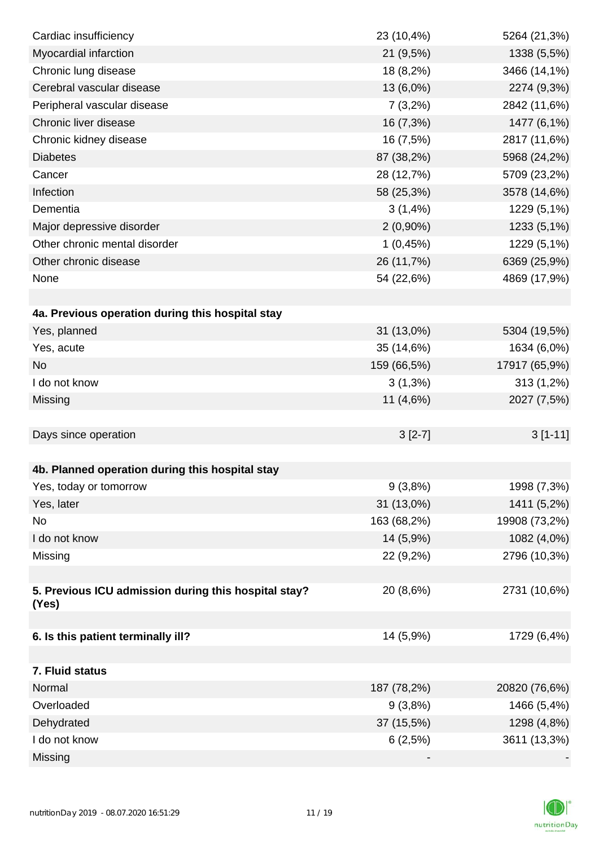| Cardiac insufficiency                                | 23 (10,4%)  | 5264 (21,3%)  |
|------------------------------------------------------|-------------|---------------|
| Myocardial infarction                                | 21 (9,5%)   | 1338 (5,5%)   |
| Chronic lung disease                                 | 18 (8,2%)   | 3466 (14,1%)  |
| Cerebral vascular disease                            | 13 (6,0%)   | 2274 (9,3%)   |
| Peripheral vascular disease                          | $7(3,2\%)$  | 2842 (11,6%)  |
| Chronic liver disease                                | 16 (7,3%)   | 1477 (6,1%)   |
| Chronic kidney disease                               | 16 (7,5%)   | 2817 (11,6%)  |
| <b>Diabetes</b>                                      | 87 (38,2%)  | 5968 (24,2%)  |
| Cancer                                               | 28 (12,7%)  | 5709 (23,2%)  |
| Infection                                            | 58 (25,3%)  | 3578 (14,6%)  |
| Dementia                                             | 3(1,4%)     | 1229 (5,1%)   |
| Major depressive disorder                            | $2(0,90\%)$ | 1233 (5,1%)   |
| Other chronic mental disorder                        | 1(0,45%)    | 1229 (5,1%)   |
| Other chronic disease                                | 26 (11,7%)  | 6369 (25,9%)  |
| None                                                 | 54 (22,6%)  | 4869 (17,9%)  |
|                                                      |             |               |
| 4a. Previous operation during this hospital stay     |             |               |
| Yes, planned                                         | 31 (13,0%)  | 5304 (19,5%)  |
| Yes, acute                                           | 35 (14,6%)  | 1634 (6,0%)   |
| <b>No</b>                                            | 159 (66,5%) | 17917 (65,9%) |
| I do not know                                        | $3(1,3\%)$  | 313 (1,2%)    |
| Missing                                              | 11 (4,6%)   | 2027 (7,5%)   |
|                                                      |             |               |
| Days since operation                                 | $3[2-7]$    | $3[1-11]$     |
|                                                      |             |               |
| 4b. Planned operation during this hospital stay      |             |               |
| Yes, today or tomorrow                               | $9(3,8\%)$  | 1998 (7,3%)   |
| Yes, later                                           | 31 (13,0%)  | 1411 (5,2%)   |
| No                                                   | 163 (68,2%) | 19908 (73,2%) |
| I do not know                                        | 14 (5,9%)   | 1082 (4,0%)   |
| Missing                                              | 22 (9,2%)   | 2796 (10,3%)  |
|                                                      |             |               |
| 5. Previous ICU admission during this hospital stay? | 20 (8,6%)   | 2731 (10,6%)  |
| (Yes)                                                |             |               |
| 6. Is this patient terminally ill?                   | 14 (5,9%)   | 1729 (6,4%)   |
|                                                      |             |               |
| 7. Fluid status                                      |             |               |
| Normal                                               | 187 (78,2%) | 20820 (76,6%) |
| Overloaded                                           | 9(3,8%)     | 1466 (5,4%)   |
| Dehydrated                                           | 37 (15,5%)  | 1298 (4,8%)   |
| I do not know                                        | 6(2,5%)     | 3611 (13,3%)  |
| Missing                                              |             |               |

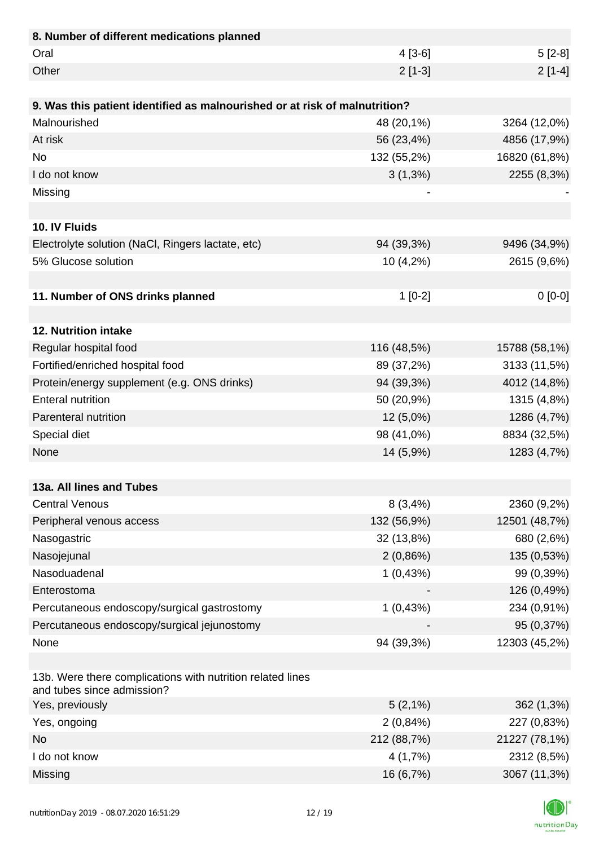| 8. Number of different medications planned                                               |             |               |
|------------------------------------------------------------------------------------------|-------------|---------------|
| Oral                                                                                     | $4[3-6]$    | $5[2-8]$      |
| Other                                                                                    | $2[1-3]$    | $2[1-4]$      |
|                                                                                          |             |               |
| 9. Was this patient identified as malnourished or at risk of malnutrition?               |             |               |
| Malnourished                                                                             | 48 (20,1%)  | 3264 (12,0%)  |
| At risk                                                                                  | 56 (23,4%)  | 4856 (17,9%)  |
| <b>No</b>                                                                                | 132 (55,2%) | 16820 (61,8%) |
| I do not know                                                                            | $3(1,3\%)$  | 2255 (8,3%)   |
| Missing                                                                                  |             |               |
|                                                                                          |             |               |
| 10. IV Fluids                                                                            |             |               |
| Electrolyte solution (NaCl, Ringers lactate, etc)                                        | 94 (39,3%)  | 9496 (34,9%)  |
| 5% Glucose solution                                                                      | 10 (4,2%)   | 2615 (9,6%)   |
|                                                                                          |             |               |
| 11. Number of ONS drinks planned                                                         | $1[0-2]$    | $0[0-0]$      |
|                                                                                          |             |               |
| 12. Nutrition intake                                                                     |             |               |
| Regular hospital food                                                                    | 116 (48,5%) | 15788 (58,1%) |
| Fortified/enriched hospital food                                                         | 89 (37,2%)  | 3133 (11,5%)  |
| Protein/energy supplement (e.g. ONS drinks)                                              | 94 (39,3%)  | 4012 (14,8%)  |
| <b>Enteral nutrition</b>                                                                 | 50 (20,9%)  | 1315 (4,8%)   |
| Parenteral nutrition                                                                     | 12 (5,0%)   | 1286 (4,7%)   |
| Special diet                                                                             | 98 (41,0%)  | 8834 (32,5%)  |
| None                                                                                     | 14 (5,9%)   | 1283 (4,7%)   |
|                                                                                          |             |               |
| 13a. All lines and Tubes                                                                 |             |               |
| <b>Central Venous</b>                                                                    | 8(3,4%)     | 2360 (9,2%)   |
| Peripheral venous access                                                                 | 132 (56,9%) | 12501 (48,7%) |
| Nasogastric                                                                              | 32 (13,8%)  | 680 (2,6%)    |
| Nasojejunal                                                                              | 2(0,86%)    | 135 (0,53%)   |
| Nasoduadenal                                                                             | 1(0,43%)    | 99 (0,39%)    |
| Enterostoma                                                                              |             | 126 (0,49%)   |
| Percutaneous endoscopy/surgical gastrostomy                                              | 1(0,43%)    | 234 (0,91%)   |
| Percutaneous endoscopy/surgical jejunostomy                                              |             | 95 (0,37%)    |
| None                                                                                     | 94 (39,3%)  | 12303 (45,2%) |
|                                                                                          |             |               |
| 13b. Were there complications with nutrition related lines<br>and tubes since admission? |             |               |
| Yes, previously                                                                          | $5(2,1\%)$  | 362 (1,3%)    |
| Yes, ongoing                                                                             | 2(0,84%)    | 227 (0,83%)   |
| <b>No</b>                                                                                | 212 (88,7%) | 21227 (78,1%) |
| I do not know                                                                            | 4(1,7%)     | 2312 (8,5%)   |
| Missing                                                                                  | 16 (6,7%)   | 3067 (11,3%)  |

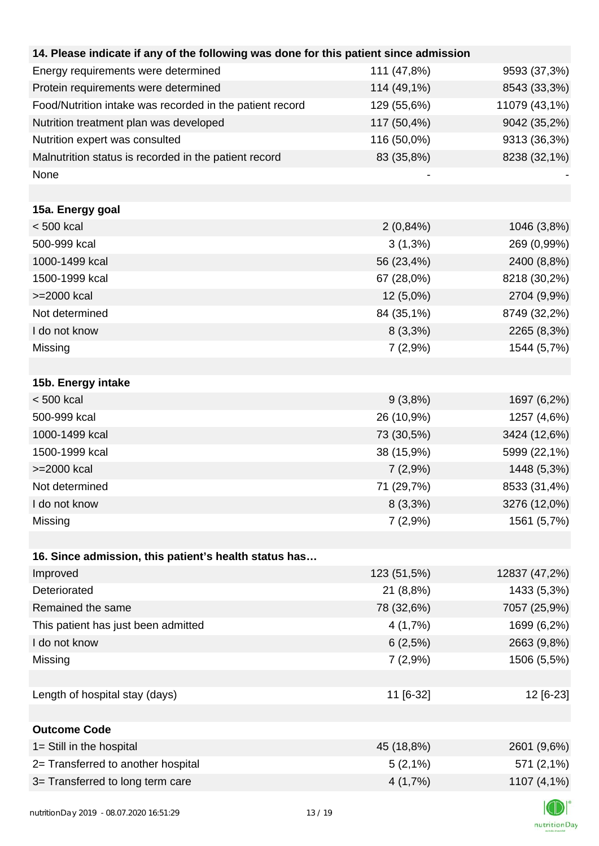| 14. Please indicate if any of the following was done for this patient since admission |             |               |
|---------------------------------------------------------------------------------------|-------------|---------------|
| Energy requirements were determined                                                   | 111 (47,8%) | 9593 (37,3%)  |
| Protein requirements were determined                                                  | 114 (49,1%) | 8543 (33,3%)  |
| Food/Nutrition intake was recorded in the patient record                              | 129 (55,6%) | 11079 (43,1%) |
| Nutrition treatment plan was developed                                                | 117 (50,4%) | 9042 (35,2%)  |
| Nutrition expert was consulted                                                        | 116 (50,0%) | 9313 (36,3%)  |
| Malnutrition status is recorded in the patient record                                 | 83 (35,8%)  | 8238 (32,1%)  |
| None                                                                                  |             |               |
|                                                                                       |             |               |
| 15a. Energy goal                                                                      |             |               |
| $< 500$ kcal                                                                          | 2(0,84%)    | 1046 (3,8%)   |
| 500-999 kcal                                                                          | $3(1,3\%)$  | 269 (0,99%)   |
| 1000-1499 kcal                                                                        | 56 (23,4%)  | 2400 (8,8%)   |
| 1500-1999 kcal                                                                        | 67 (28,0%)  | 8218 (30,2%)  |
| >=2000 kcal                                                                           | 12 (5,0%)   | 2704 (9,9%)   |
| Not determined                                                                        | 84 (35,1%)  | 8749 (32,2%)  |
| I do not know                                                                         | $8(3,3\%)$  | 2265 (8,3%)   |
| Missing                                                                               | 7(2,9%)     | 1544 (5,7%)   |
|                                                                                       |             |               |
| 15b. Energy intake                                                                    |             |               |
| $< 500$ kcal                                                                          | 9(3,8%)     | 1697 (6,2%)   |
| 500-999 kcal                                                                          | 26 (10,9%)  | 1257 (4,6%)   |
| 1000-1499 kcal                                                                        | 73 (30,5%)  | 3424 (12,6%)  |
| 1500-1999 kcal                                                                        | 38 (15,9%)  | 5999 (22,1%)  |
| >=2000 kcal                                                                           | 7(2,9%)     | 1448 (5,3%)   |
| Not determined                                                                        | 71 (29,7%)  | 8533 (31,4%)  |
| I do not know                                                                         | $8(3,3\%)$  | 3276 (12,0%)  |
| Missing                                                                               | 7(2,9%      | 1561 (5,7%)   |
|                                                                                       |             |               |
| 16. Since admission, this patient's health status has                                 |             |               |
| Improved                                                                              | 123 (51,5%) | 12837 (47,2%) |
| Deteriorated                                                                          | 21 (8,8%)   | 1433 (5,3%)   |
| Remained the same                                                                     | 78 (32,6%)  | 7057 (25,9%)  |
| This patient has just been admitted                                                   | 4(1,7%)     | 1699 (6,2%)   |
| I do not know                                                                         | 6(2,5%)     | 2663 (9,8%)   |
| Missing                                                                               | 7(2,9%)     | 1506 (5,5%)   |
|                                                                                       |             |               |
| Length of hospital stay (days)                                                        | 11 [6-32]   | 12 [6-23]     |
|                                                                                       |             |               |
| <b>Outcome Code</b>                                                                   |             |               |
| 1= Still in the hospital                                                              | 45 (18,8%)  | 2601 (9,6%)   |
| 2= Transferred to another hospital                                                    | $5(2,1\%)$  | 571 (2,1%)    |
| 3= Transferred to long term care                                                      | 4(1,7%)     | 1107 (4,1%)   |

K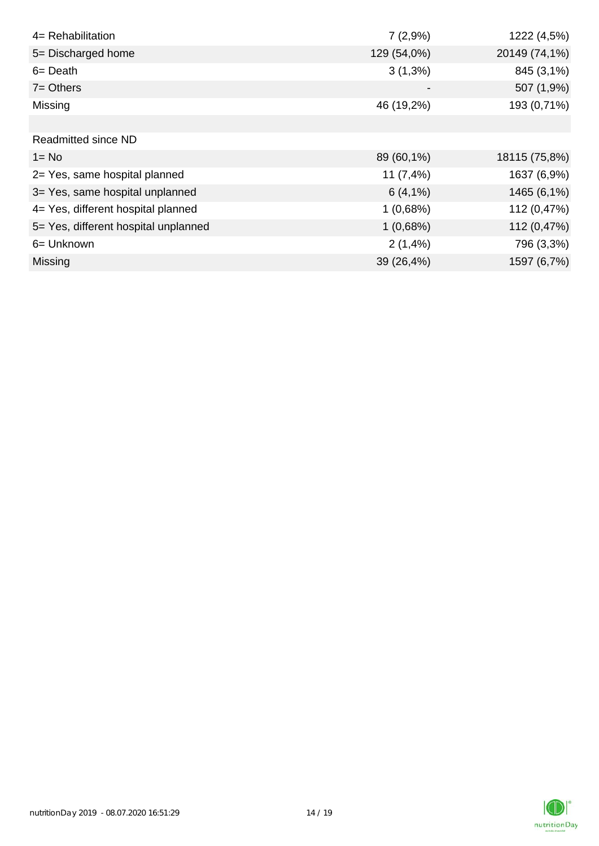| 4= Rehabilitation                    | 7(2,9%)     | 1222 (4,5%)   |
|--------------------------------------|-------------|---------------|
| 5= Discharged home                   | 129 (54,0%) | 20149 (74,1%) |
| $6 = Death$                          | $3(1,3\%)$  | 845 (3,1%)    |
| $7 = Others$                         |             | 507 (1,9%)    |
| Missing                              | 46 (19,2%)  | 193 (0,71%)   |
|                                      |             |               |
| <b>Readmitted since ND</b>           |             |               |
| $1 = No$                             | 89 (60,1%)  | 18115 (75,8%) |
| 2= Yes, same hospital planned        | 11 $(7,4%)$ | 1637 (6,9%)   |
| 3= Yes, same hospital unplanned      | 6(4,1%)     | 1465 (6,1%)   |
| 4= Yes, different hospital planned   | 1(0,68%)    | 112 (0,47%)   |
| 5= Yes, different hospital unplanned | 1(0,68%)    | 112 (0,47%)   |
| 6= Unknown                           | 2(1,4%      | 796 (3,3%)    |
| <b>Missing</b>                       | 39 (26,4%)  | 1597 (6,7%)   |

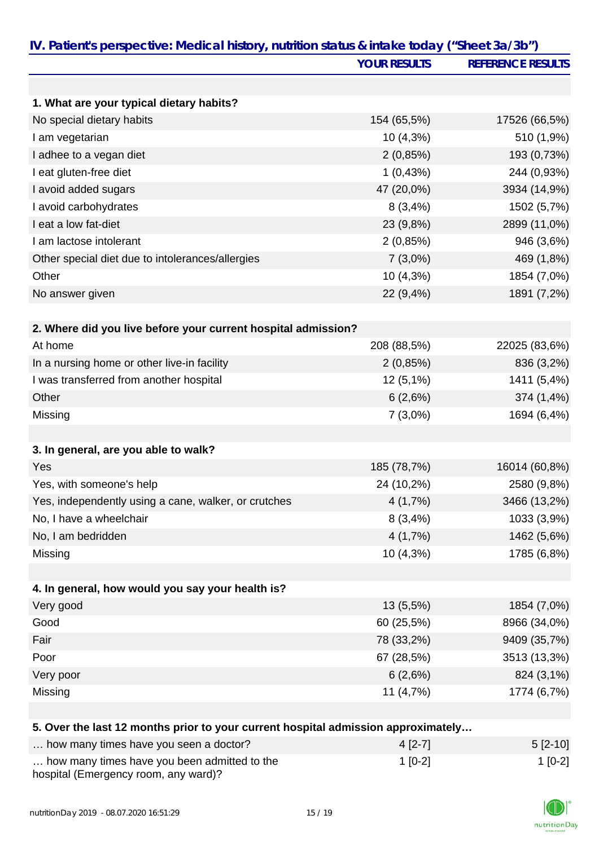| IV. Patient's perspective: Medical history, nutrition status & intake today ("Sheet 3a/3b") | <b>YOUR RESULTS</b> | <b>REFERENCE RESULTS</b> |
|---------------------------------------------------------------------------------------------|---------------------|--------------------------|
|                                                                                             |                     |                          |
|                                                                                             |                     |                          |
| 1. What are your typical dietary habits?                                                    |                     |                          |
| No special dietary habits                                                                   | 154 (65,5%)         | 17526 (66,5%)            |
| I am vegetarian                                                                             | 10 (4,3%)           | 510 (1,9%)               |
| I adhee to a vegan diet                                                                     | 2(0,85%)            | 193 (0,73%)              |
| I eat gluten-free diet                                                                      | 1(0,43%)            | 244 (0,93%)              |
| I avoid added sugars                                                                        | 47 (20,0%)          | 3934 (14,9%)             |
| I avoid carbohydrates                                                                       | 8(3,4%)             | 1502 (5,7%)              |
| I eat a low fat-diet                                                                        | 23 (9,8%)           | 2899 (11,0%)             |
| I am lactose intolerant                                                                     | 2(0,85%)            | 946 (3,6%)               |
| Other special diet due to intolerances/allergies                                            | $7(3,0\%)$          | 469 (1,8%)               |
| Other                                                                                       | 10 (4,3%)           | 1854 (7,0%)              |
| No answer given                                                                             | 22 (9,4%)           | 1891 (7,2%)              |
|                                                                                             |                     |                          |
| 2. Where did you live before your current hospital admission?                               |                     |                          |
| At home                                                                                     | 208 (88,5%)         | 22025 (83,6%)            |
| In a nursing home or other live-in facility                                                 | 2(0,85%)            | 836 (3,2%)               |
| I was transferred from another hospital                                                     | $12(5,1\%)$         | 1411 (5,4%)              |
| Other                                                                                       | 6(2,6%)             | 374 (1,4%)               |
| Missing                                                                                     | $7(3,0\%)$          | 1694 (6,4%)              |
|                                                                                             |                     |                          |
| 3. In general, are you able to walk?                                                        |                     |                          |
| Yes                                                                                         | 185 (78,7%)         | 16014 (60,8%)            |
| Yes, with someone's help                                                                    | 24 (10,2%)          | 2580 (9,8%)              |
| Yes, independently using a cane, walker, or crutches                                        | 4(1,7%)             | 3466 (13,2%)             |
| No, I have a wheelchair                                                                     | 8(3,4%)             | 1033 (3,9%)              |
| No, I am bedridden                                                                          | 4(1,7%)             | 1462 (5,6%)              |
| Missing                                                                                     | 10 (4,3%)           | 1785 (6,8%)              |
|                                                                                             |                     |                          |
| 4. In general, how would you say your health is?                                            |                     |                          |
| Very good                                                                                   | $13(5,5\%)$         | 1854 (7,0%)              |
| Good                                                                                        | 60 (25,5%)          | 8966 (34,0%)             |
| Fair                                                                                        | 78 (33,2%)          | 9409 (35,7%)             |
| Poor                                                                                        | 67 (28,5%)          | 3513 (13,3%)             |
| Very poor                                                                                   | 6(2,6%)             | 824 (3,1%)               |
| Missing                                                                                     | 11 $(4,7%)$         | 1774 (6,7%)              |
|                                                                                             |                     |                          |
|                                                                                             |                     |                          |
| 5. Over the last 12 months prior to your current hospital admission approximately           |                     |                          |
| how many times have you seen a doctor?                                                      | $4[2-7]$            | $5[2-10]$                |
| how many times have you been admitted to the                                                | $1[0-2]$            | $1[0-2]$                 |

| how many times have you been admitted to the |  |
|----------------------------------------------|--|
| hospital (Emergency room, any ward)?         |  |

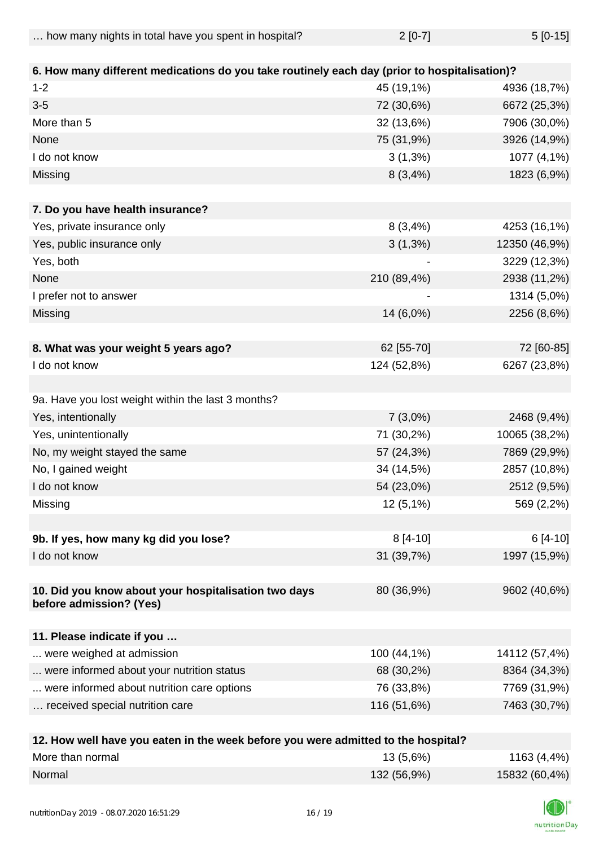| how many nights in total have you spent in hospital? | $2[0-7]$ | $5[0-15]$ |
|------------------------------------------------------|----------|-----------|
|                                                      |          |           |

| 6. How many different medications do you take routinely each day (prior to hospitalisation)? |             |               |
|----------------------------------------------------------------------------------------------|-------------|---------------|
| $1 - 2$                                                                                      | 45 (19,1%)  | 4936 (18,7%)  |
| $3-5$                                                                                        | 72 (30,6%)  | 6672 (25,3%)  |
| More than 5                                                                                  | 32 (13,6%)  | 7906 (30,0%)  |
| None                                                                                         | 75 (31,9%)  | 3926 (14,9%)  |
| I do not know                                                                                | $3(1,3\%)$  | 1077 (4,1%)   |
| Missing                                                                                      | 8(3,4%)     | 1823 (6,9%)   |
|                                                                                              |             |               |
| 7. Do you have health insurance?                                                             |             |               |
| Yes, private insurance only                                                                  | 8(3,4%)     | 4253 (16,1%)  |
| Yes, public insurance only                                                                   | $3(1,3\%)$  | 12350 (46,9%) |
| Yes, both                                                                                    |             | 3229 (12,3%)  |
| None                                                                                         | 210 (89,4%) | 2938 (11,2%)  |
| I prefer not to answer                                                                       |             | 1314 (5,0%)   |
| Missing                                                                                      | 14 (6,0%)   | 2256 (8,6%)   |
|                                                                                              |             |               |
| 8. What was your weight 5 years ago?                                                         | 62 [55-70]  | 72 [60-85]    |
| I do not know                                                                                | 124 (52,8%) | 6267 (23,8%)  |
|                                                                                              |             |               |
| 9a. Have you lost weight within the last 3 months?                                           |             |               |
| Yes, intentionally                                                                           | $7(3,0\%)$  | 2468 (9,4%)   |
| Yes, unintentionally                                                                         | 71 (30,2%)  | 10065 (38,2%) |
| No, my weight stayed the same                                                                | 57 (24,3%)  | 7869 (29,9%)  |
| No, I gained weight                                                                          | 34 (14,5%)  | 2857 (10,8%)  |
| I do not know                                                                                | 54 (23,0%)  | 2512 (9,5%)   |
| Missing                                                                                      | $12(5,1\%)$ | 569 (2,2%)    |
|                                                                                              |             |               |
| 9b. If yes, how many kg did you lose?                                                        | $8[4-10]$   | $6[4-10]$     |
| I do not know                                                                                | 31 (39,7%)  | 1997 (15,9%)  |
| 10. Did you know about your hospitalisation two days<br>before admission? (Yes)              | 80 (36,9%)  | 9602 (40,6%)  |
| 11. Please indicate if you                                                                   |             |               |
| were weighed at admission                                                                    | 100 (44,1%) | 14112 (57,4%) |
| were informed about your nutrition status                                                    | 68 (30,2%)  | 8364 (34,3%)  |
| were informed about nutrition care options                                                   | 76 (33,8%)  | 7769 (31,9%)  |
| received special nutrition care                                                              | 116 (51,6%) | 7463 (30,7%)  |
|                                                                                              |             |               |
| urall hous you estan in the week before you was admitted to the hoopital?                    |             |               |

| 12. How well have you eaten in the week before you were admitted to the hospital? |             |               |
|-----------------------------------------------------------------------------------|-------------|---------------|
| More than normal                                                                  | $13(5,6\%)$ | 1163 (4,4%)   |
| Normal                                                                            | 132 (56,9%) | 15832 (60,4%) |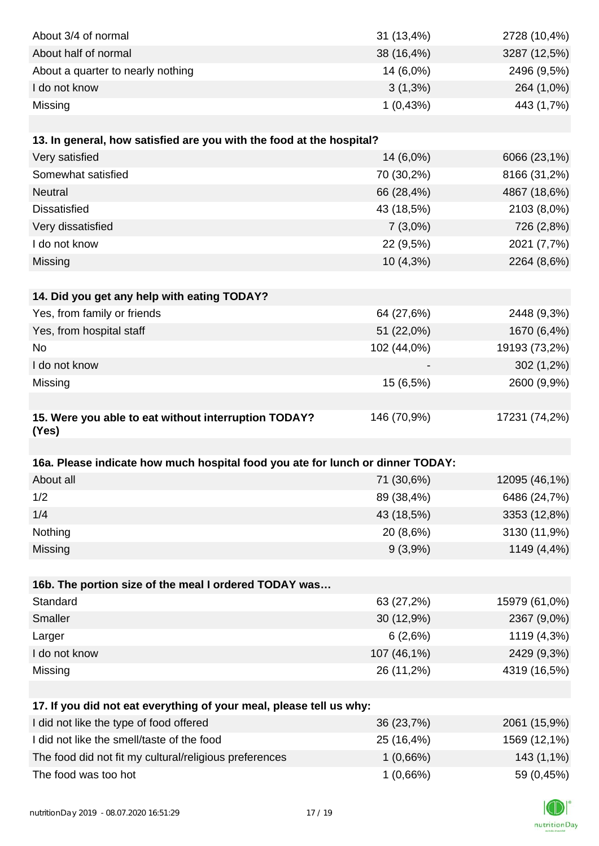| About 3/4 of normal                                                            | 31 (13,4%)  | 2728 (10,4%)  |
|--------------------------------------------------------------------------------|-------------|---------------|
| About half of normal                                                           | 38 (16,4%)  | 3287 (12,5%)  |
| About a quarter to nearly nothing                                              | 14 (6,0%)   | 2496 (9,5%)   |
| I do not know                                                                  | $3(1,3\%)$  | 264 (1,0%)    |
| Missing                                                                        | 1(0,43%)    | 443 (1,7%)    |
|                                                                                |             |               |
| 13. In general, how satisfied are you with the food at the hospital?           |             |               |
| Very satisfied                                                                 | 14 (6,0%)   | 6066 (23,1%)  |
| Somewhat satisfied                                                             | 70 (30,2%)  | 8166 (31,2%)  |
| <b>Neutral</b>                                                                 | 66 (28,4%)  | 4867 (18,6%)  |
| <b>Dissatisfied</b>                                                            | 43 (18,5%)  | 2103 (8,0%)   |
| Very dissatisfied                                                              | $7(3,0\%)$  | 726 (2,8%)    |
| I do not know                                                                  | 22 (9,5%)   | 2021 (7,7%)   |
| Missing                                                                        | 10 (4,3%)   | 2264 (8,6%)   |
|                                                                                |             |               |
| 14. Did you get any help with eating TODAY?                                    |             |               |
| Yes, from family or friends                                                    | 64 (27,6%)  | 2448 (9,3%)   |
| Yes, from hospital staff                                                       | 51 (22,0%)  | 1670 (6,4%)   |
| No                                                                             | 102 (44,0%) | 19193 (73,2%) |
| I do not know                                                                  |             | 302 (1,2%)    |
| Missing                                                                        | 15 (6,5%)   | 2600 (9,9%)   |
|                                                                                |             |               |
| 15. Were you able to eat without interruption TODAY?<br>(Yes)                  | 146 (70,9%) | 17231 (74,2%) |
|                                                                                |             |               |
| 16a. Please indicate how much hospital food you ate for lunch or dinner TODAY: |             |               |
| About all                                                                      | 71 (30,6%)  | 12095 (46,1%) |
| 1/2                                                                            | 89 (38,4%)  | 6486 (24,7%)  |
| 1/4                                                                            | 43 (18,5%)  | 3353 (12,8%)  |
| Nothing                                                                        | 20 (8,6%)   | 3130 (11,9%)  |
| Missing                                                                        | 9(3,9%)     | 1149 (4,4%)   |
|                                                                                |             |               |
| 16b. The portion size of the meal I ordered TODAY was                          |             |               |
| Standard                                                                       | 63 (27,2%)  | 15979 (61,0%) |
| Smaller                                                                        | 30 (12,9%)  | 2367 (9,0%)   |
| Larger                                                                         | 6(2,6%)     | 1119 (4,3%)   |
| I do not know                                                                  | 107 (46,1%) | 2429 (9,3%)   |
| Missing                                                                        | 26 (11,2%)  | 4319 (16,5%)  |
|                                                                                |             |               |
| 17. If you did not eat everything of your meal, please tell us why:            |             |               |
| I did not like the type of food offered                                        | 36 (23,7%)  | 2061 (15,9%)  |
| I did not like the smell/taste of the food                                     | 25 (16,4%)  | 1569 (12,1%)  |
| The food did not fit my cultural/religious preferences                         | 1(0,66%)    | 143 (1,1%)    |
| The food was too hot                                                           | 1(0,66%)    | 59 (0,45%)    |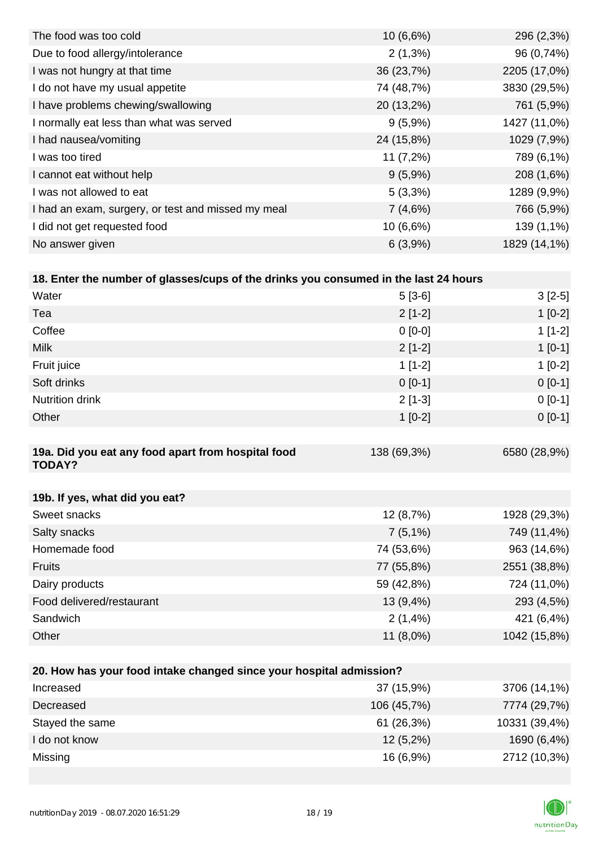| 10(6,6%)    | 296 (2,3%)   |
|-------------|--------------|
| $2(1,3\%)$  | 96 (0,74%)   |
| 36 (23,7%)  | 2205 (17,0%) |
| 74 (48,7%)  | 3830 (29,5%) |
| 20 (13,2%)  | 761 (5,9%)   |
| $9(5,9\%)$  | 1427 (11,0%) |
| 24 (15,8%)  | 1029 (7,9%)  |
| $11(7,2\%)$ | 789 (6,1%)   |
| $9(5,9\%)$  | 208 (1,6%)   |
| $5(3,3\%)$  | 1289 (9,9%)  |
| 7(4,6%)     | 766 (5,9%)   |
| $10(6,6\%)$ | 139 (1,1%)   |
| 6(3,9%)     | 1829 (14,1%) |
|             |              |

| 18. Enter the number of glasses/cups of the drinks you consumed in the last 24 hours |             |              |
|--------------------------------------------------------------------------------------|-------------|--------------|
| Water                                                                                | $5[3-6]$    | $3[2-5]$     |
| Tea                                                                                  | $2[1-2]$    | $1[0-2]$     |
| Coffee                                                                               | $0 [0-0]$   | $1[1-2]$     |
| <b>Milk</b>                                                                          | $2[1-2]$    | $1$ [0-1]    |
| Fruit juice                                                                          | $1[1-2]$    | $1[0-2]$     |
| Soft drinks                                                                          | $0[0-1]$    | $0[0-1]$     |
| <b>Nutrition drink</b>                                                               | $2[1-3]$    | $0[0-1]$     |
| Other                                                                                | $1$ [0-2]   | $0[0-1]$     |
|                                                                                      |             |              |
| 19a. Did you eat any food apart from hospital food<br><b>TODAY?</b>                  | 138 (69,3%) | 6580 (28,9%) |
|                                                                                      |             |              |

| 19b. If yes, what did you eat? |             |              |
|--------------------------------|-------------|--------------|
| Sweet snacks                   | 12 (8,7%)   | 1928 (29,3%) |
| Salty snacks                   | $7(5,1\%)$  | 749 (11,4%)  |
| Homemade food                  | 74 (53,6%)  | 963 (14,6%)  |
| <b>Fruits</b>                  | 77 (55,8%)  | 2551 (38,8%) |
| Dairy products                 | 59 (42,8%)  | 724 (11,0%)  |
| Food delivered/restaurant      | $13(9,4\%)$ | 293 (4,5%)   |
| Sandwich                       | 2(1,4%      | 421 (6,4%)   |
| Other                          | $11(8,0\%)$ | 1042 (15,8%) |

| 20. How has your food intake changed since your hospital admission? |               |  |  |  |
|---------------------------------------------------------------------|---------------|--|--|--|
| 37 (15,9%)                                                          | 3706 (14,1%)  |  |  |  |
| 106 (45,7%)                                                         | 7774 (29,7%)  |  |  |  |
| 61(26,3%)                                                           | 10331 (39,4%) |  |  |  |
| $12(5,2\%)$                                                         | 1690 (6,4%)   |  |  |  |
| 16(6,9%)                                                            | 2712 (10,3%)  |  |  |  |
|                                                                     |               |  |  |  |